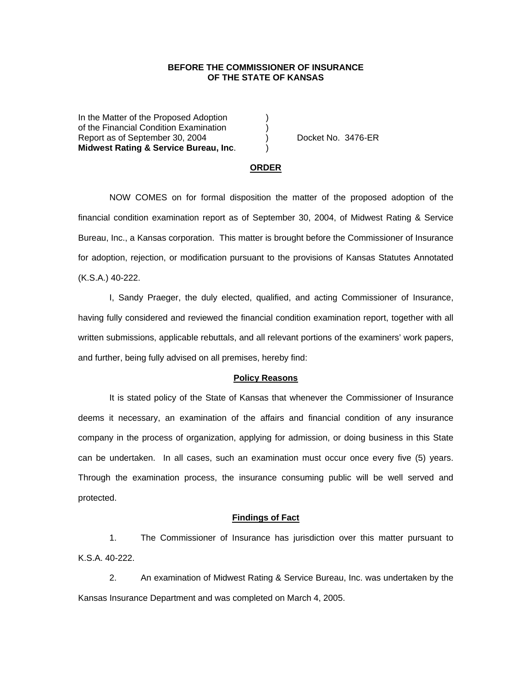## **BEFORE THE COMMISSIONER OF INSURANCE OF THE STATE OF KANSAS**

In the Matter of the Proposed Adoption of the Financial Condition Examination ) Report as of September 30, 2004 ) Docket No. 3476-ER **Midwest Rating & Service Bureau, Inc**. )

### **ORDER**

 NOW COMES on for formal disposition the matter of the proposed adoption of the financial condition examination report as of September 30, 2004, of Midwest Rating & Service Bureau, Inc., a Kansas corporation. This matter is brought before the Commissioner of Insurance for adoption, rejection, or modification pursuant to the provisions of Kansas Statutes Annotated (K.S.A.) 40-222.

 I, Sandy Praeger, the duly elected, qualified, and acting Commissioner of Insurance, having fully considered and reviewed the financial condition examination report, together with all written submissions, applicable rebuttals, and all relevant portions of the examiners' work papers, and further, being fully advised on all premises, hereby find:

#### **Policy Reasons**

 It is stated policy of the State of Kansas that whenever the Commissioner of Insurance deems it necessary, an examination of the affairs and financial condition of any insurance company in the process of organization, applying for admission, or doing business in this State can be undertaken. In all cases, such an examination must occur once every five (5) years. Through the examination process, the insurance consuming public will be well served and protected.

#### **Findings of Fact**

 1. The Commissioner of Insurance has jurisdiction over this matter pursuant to K.S.A. 40-222.

 2. An examination of Midwest Rating & Service Bureau, Inc. was undertaken by the Kansas Insurance Department and was completed on March 4, 2005.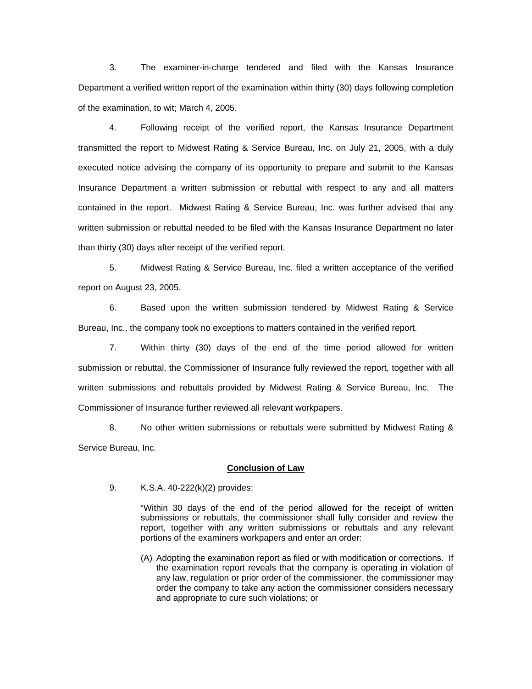3. The examiner-in-charge tendered and filed with the Kansas Insurance Department a verified written report of the examination within thirty (30) days following completion of the examination, to wit; March 4, 2005.

 4. Following receipt of the verified report, the Kansas Insurance Department transmitted the report to Midwest Rating & Service Bureau, Inc. on July 21, 2005, with a duly executed notice advising the company of its opportunity to prepare and submit to the Kansas Insurance Department a written submission or rebuttal with respect to any and all matters contained in the report. Midwest Rating & Service Bureau, Inc. was further advised that any written submission or rebuttal needed to be filed with the Kansas Insurance Department no later than thirty (30) days after receipt of the verified report.

 5. Midwest Rating & Service Bureau, Inc. filed a written acceptance of the verified report on August 23, 2005.

 6. Based upon the written submission tendered by Midwest Rating & Service Bureau, Inc., the company took no exceptions to matters contained in the verified report.

 7. Within thirty (30) days of the end of the time period allowed for written submission or rebuttal, the Commissioner of Insurance fully reviewed the report, together with all written submissions and rebuttals provided by Midwest Rating & Service Bureau, Inc. The Commissioner of Insurance further reviewed all relevant workpapers.

 8. No other written submissions or rebuttals were submitted by Midwest Rating & Service Bureau, Inc.

### **Conclusion of Law**

9. K.S.A. 40-222(k)(2) provides:

"Within 30 days of the end of the period allowed for the receipt of written submissions or rebuttals, the commissioner shall fully consider and review the report, together with any written submissions or rebuttals and any relevant portions of the examiners workpapers and enter an order:

(A) Adopting the examination report as filed or with modification or corrections. If the examination report reveals that the company is operating in violation of any law, regulation or prior order of the commissioner, the commissioner may order the company to take any action the commissioner considers necessary and appropriate to cure such violations; or